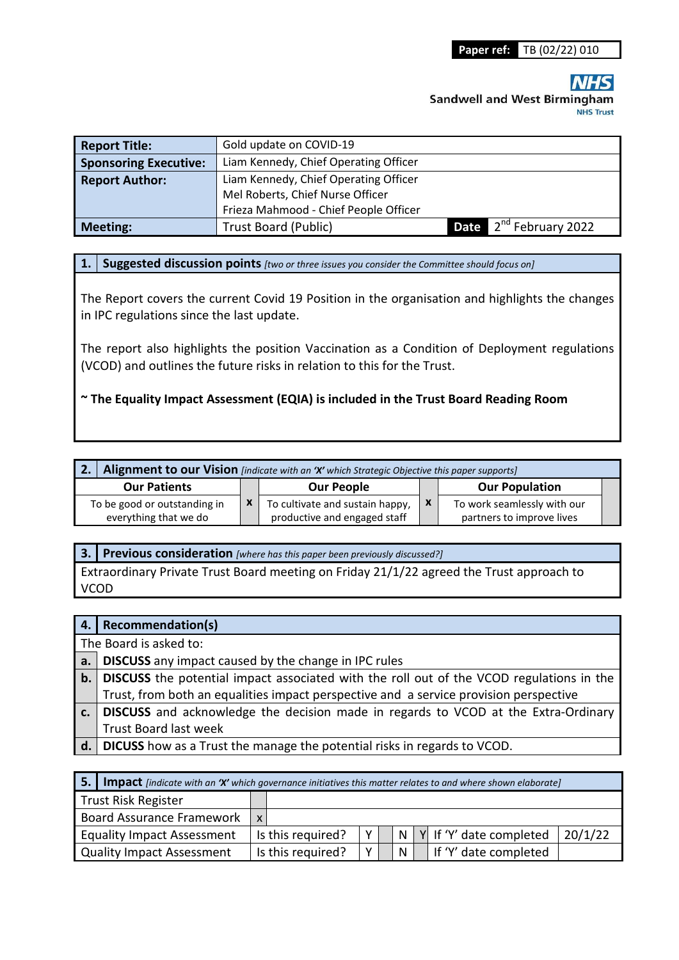# **Sandwell and West Birmingham NHS Trust**

| <b>Report Title:</b>         | Gold update on COVID-19               |  |                                    |  |  |  |  |
|------------------------------|---------------------------------------|--|------------------------------------|--|--|--|--|
| <b>Sponsoring Executive:</b> | Liam Kennedy, Chief Operating Officer |  |                                    |  |  |  |  |
| <b>Report Author:</b>        | Liam Kennedy, Chief Operating Officer |  |                                    |  |  |  |  |
|                              | Mel Roberts, Chief Nurse Officer      |  |                                    |  |  |  |  |
|                              | Frieza Mahmood - Chief People Officer |  |                                    |  |  |  |  |
| <b>Meeting:</b>              | <b>Trust Board (Public)</b>           |  | Date 2 <sup>nd</sup> February 2022 |  |  |  |  |

**1. Suggested discussion points** *[two or three issues you consider the Committee should focus on]* 

The Report covers the current Covid 19 Position in the organisation and highlights the changes in IPC regulations since the last update.

The report also highlights the position Vaccination as a Condition of Deployment regulations (VCOD) and outlines the future risks in relation to this for the Trust.

#### **~ The Equality Impact Assessment (EQIA) is included in the Trust Board Reading Room**

|                                                                              | Alignment to our Vision [indicate with an 'X' which Strategic Objective this paper supports] |                                                                                                      |  |                           |                                                          |  |
|------------------------------------------------------------------------------|----------------------------------------------------------------------------------------------|------------------------------------------------------------------------------------------------------|--|---------------------------|----------------------------------------------------------|--|
| <b>Our Patients</b><br>To be good or outstanding in<br>everything that we do |                                                                                              | <b>Our People</b><br>To cultivate and sustain happy,<br>$\mathsf{x}$<br>productive and engaged staff |  |                           | <b>Our Population</b>                                    |  |
|                                                                              |                                                                                              |                                                                                                      |  | $\boldsymbol{\mathsf{x}}$ | To work seamlessly with our<br>partners to improve lives |  |

**3. Previous consideration** *[where has this paper been previously discussed?]*

Extraordinary Private Trust Board meeting on Friday 21/1/22 agreed the Trust approach to VCOD

|                        | 4.   Recommendation(s)                                                                             |  |  |  |
|------------------------|----------------------------------------------------------------------------------------------------|--|--|--|
| The Board is asked to: |                                                                                                    |  |  |  |
|                        | <b>a.</b> DISCUSS any impact caused by the change in IPC rules                                     |  |  |  |
|                        | <b>b.</b> DISCUSS the potential impact associated with the roll out of the VCOD regulations in the |  |  |  |
|                        | Trust, from both an equalities impact perspective and a service provision perspective              |  |  |  |
| c.                     | DISCUSS and acknowledge the decision made in regards to VCOD at the Extra-Ordinary                 |  |  |  |
|                        | <b>Trust Board last week</b>                                                                       |  |  |  |
|                        | d.   DICUSS how as a Trust the manage the potential risks in regards to VCOD.                      |  |  |  |

| 5.1                                              | <b>Impact</b> [indicate with an 'X' which governance initiatives this matter relates to and where shown elaborate] |  |                   |   |  |          |  |                         |         |
|--------------------------------------------------|--------------------------------------------------------------------------------------------------------------------|--|-------------------|---|--|----------|--|-------------------------|---------|
| Trust Risk Register                              |                                                                                                                    |  |                   |   |  |          |  |                         |         |
| <b>Board Assurance Framework</b><br>$\mathsf{x}$ |                                                                                                                    |  |                   |   |  |          |  |                         |         |
| <b>Equality Impact Assessment</b>                |                                                                                                                    |  | Is this required? | v |  | N        |  | Y If 'Y' date completed | 20/1/22 |
| <b>Quality Impact Assessment</b>                 |                                                                                                                    |  | Is this required? | v |  | <b>N</b> |  | If 'Y' date completed   |         |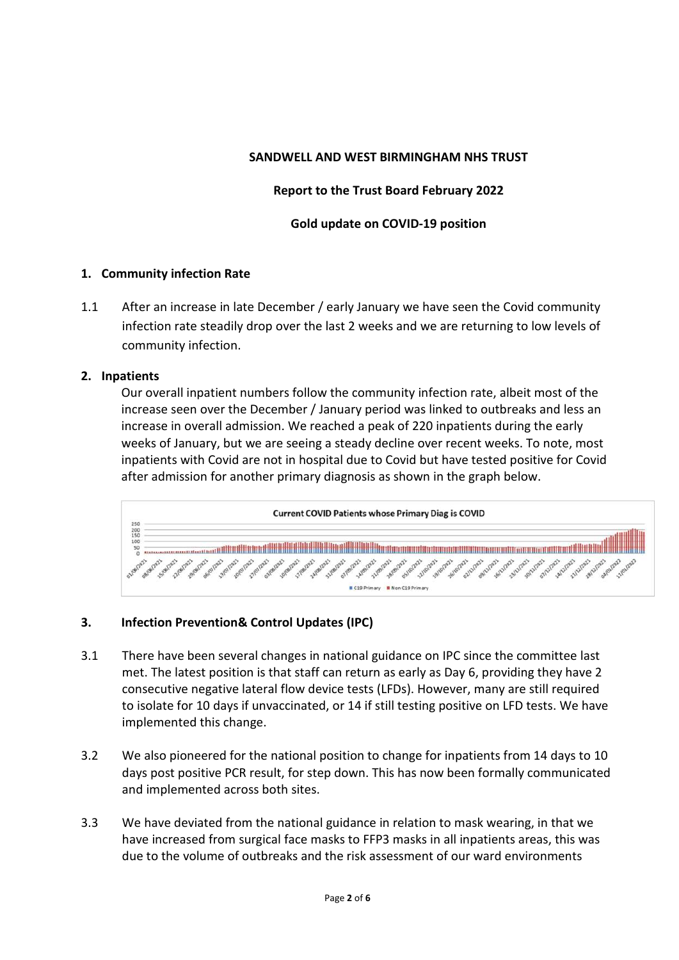## **SANDWELL AND WEST BIRMINGHAM NHS TRUST**

## **Report to the Trust Board February 2022**

#### **Gold update on COVID-19 position**

#### **1. Community infection Rate**

1.1 After an increase in late December / early January we have seen the Covid community infection rate steadily drop over the last 2 weeks and we are returning to low levels of community infection.

#### **2. Inpatients**

Our overall inpatient numbers follow the community infection rate, albeit most of the increase seen over the December / January period was linked to outbreaks and less an increase in overall admission. We reached a peak of 220 inpatients during the early weeks of January, but we are seeing a steady decline over recent weeks. To note, most inpatients with Covid are not in hospital due to Covid but have tested positive for Covid after admission for another primary diagnosis as shown in the graph below.



# **3. Infection Prevention& Control Updates (IPC)**

- 3.1 There have been several changes in national guidance on IPC since the committee last met. The latest position is that staff can return as early as Day 6, providing they have 2 consecutive negative lateral flow device tests (LFDs). However, many are still required to isolate for 10 days if unvaccinated, or 14 if still testing positive on LFD tests. We have implemented this change.
- 3.2 We also pioneered for the national position to change for inpatients from 14 days to 10 days post positive PCR result, for step down. This has now been formally communicated and implemented across both sites.
- 3.3 We have deviated from the national guidance in relation to mask wearing, in that we have increased from surgical face masks to FFP3 masks in all inpatients areas, this was due to the volume of outbreaks and the risk assessment of our ward environments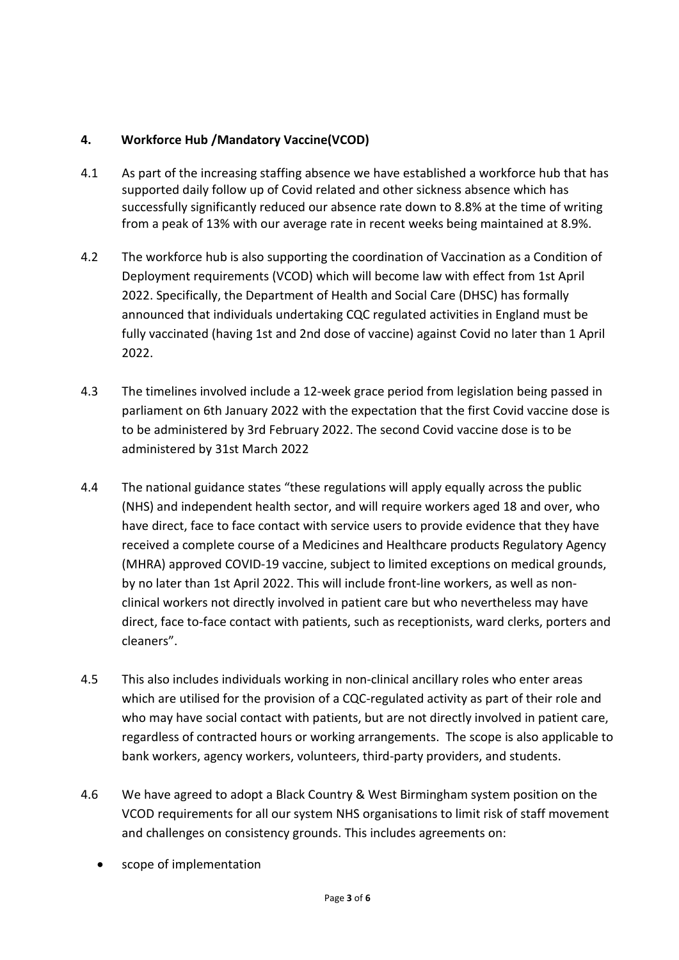# **4. Workforce Hub /Mandatory Vaccine(VCOD)**

- 4.1 As part of the increasing staffing absence we have established a workforce hub that has supported daily follow up of Covid related and other sickness absence which has successfully significantly reduced our absence rate down to 8.8% at the time of writing from a peak of 13% with our average rate in recent weeks being maintained at 8.9%.
- 4.2 The workforce hub is also supporting the coordination of Vaccination as a Condition of Deployment requirements (VCOD) which will become law with effect from 1st April 2022. Specifically, the Department of Health and Social Care (DHSC) has formally announced that individuals undertaking CQC regulated activities in England must be fully vaccinated (having 1st and 2nd dose of vaccine) against Covid no later than 1 April 2022.
- 4.3 The timelines involved include a 12-week grace period from legislation being passed in parliament on 6th January 2022 with the expectation that the first Covid vaccine dose is to be administered by 3rd February 2022. The second Covid vaccine dose is to be administered by 31st March 2022
- 4.4 The national guidance states "these regulations will apply equally across the public (NHS) and independent health sector, and will require workers aged 18 and over, who have direct, face to face contact with service users to provide evidence that they have received a complete course of a Medicines and Healthcare products Regulatory Agency (MHRA) approved COVID-19 vaccine, subject to limited exceptions on medical grounds, by no later than 1st April 2022. This will include front-line workers, as well as nonclinical workers not directly involved in patient care but who nevertheless may have direct, face to-face contact with patients, such as receptionists, ward clerks, porters and cleaners".
- 4.5 This also includes individuals working in non-clinical ancillary roles who enter areas which are utilised for the provision of a CQC-regulated activity as part of their role and who may have social contact with patients, but are not directly involved in patient care, regardless of contracted hours or working arrangements. The scope is also applicable to bank workers, agency workers, volunteers, third-party providers, and students.
- 4.6 We have agreed to adopt a Black Country & West Birmingham system position on the VCOD requirements for all our system NHS organisations to limit risk of staff movement and challenges on consistency grounds. This includes agreements on:
	- scope of implementation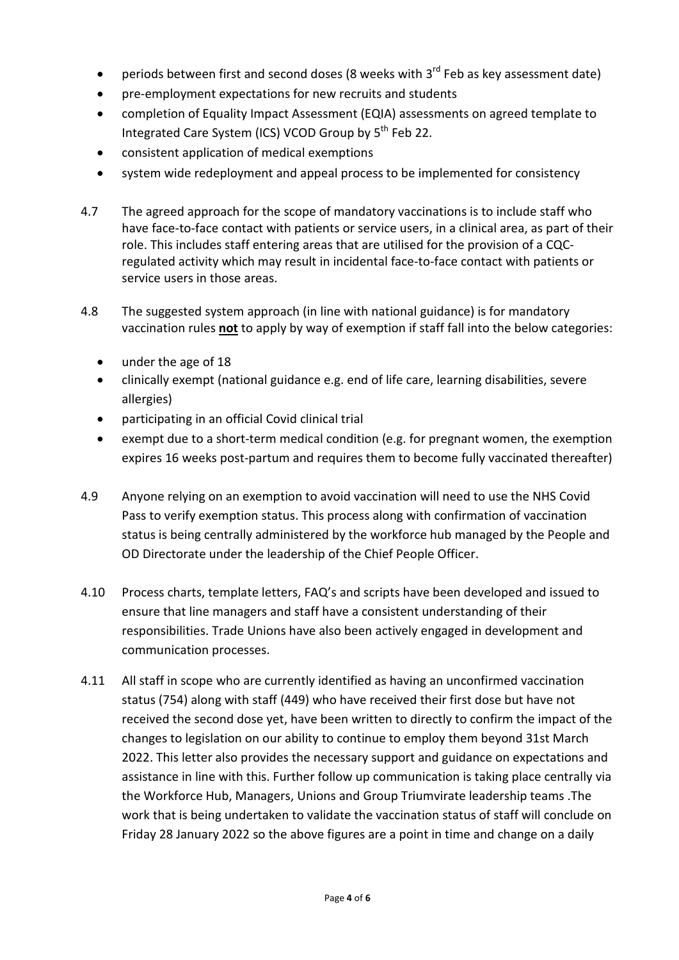- periods between first and second doses (8 weeks with  $3^{rd}$  Feb as key assessment date)
- pre-employment expectations for new recruits and students
- completion of Equality Impact Assessment (EQIA) assessments on agreed template to Integrated Care System (ICS) VCOD Group by 5<sup>th</sup> Feb 22.
- consistent application of medical exemptions
- system wide redeployment and appeal process to be implemented for consistency
- 4.7 The agreed approach for the scope of mandatory vaccinations is to include staff who have face-to-face contact with patients or service users, in a clinical area, as part of their role. This includes staff entering areas that are utilised for the provision of a CQCregulated activity which may result in incidental face-to-face contact with patients or service users in those areas.
- 4.8 The suggested system approach (in line with national guidance) is for mandatory vaccination rules **not** to apply by way of exemption if staff fall into the below categories:
	- under the age of 18
	- clinically exempt (national guidance e.g. end of life care, learning disabilities, severe allergies)
	- participating in an official Covid clinical trial
	- exempt due to a short-term medical condition (e.g. for pregnant women, the exemption expires 16 weeks post-partum and requires them to become fully vaccinated thereafter)
- 4.9 Anyone relying on an exemption to avoid vaccination will need to use the NHS Covid Pass to verify exemption status. This process along with confirmation of vaccination status is being centrally administered by the workforce hub managed by the People and OD Directorate under the leadership of the Chief People Officer.
- 4.10 Process charts, template letters, FAQ's and scripts have been developed and issued to ensure that line managers and staff have a consistent understanding of their responsibilities. Trade Unions have also been actively engaged in development and communication processes.
- 4.11 All staff in scope who are currently identified as having an unconfirmed vaccination status (754) along with staff (449) who have received their first dose but have not received the second dose yet, have been written to directly to confirm the impact of the changes to legislation on our ability to continue to employ them beyond 31st March 2022. This letter also provides the necessary support and guidance on expectations and assistance in line with this. Further follow up communication is taking place centrally via the Workforce Hub, Managers, Unions and Group Triumvirate leadership teams .The work that is being undertaken to validate the vaccination status of staff will conclude on Friday 28 January 2022 so the above figures are a point in time and change on a daily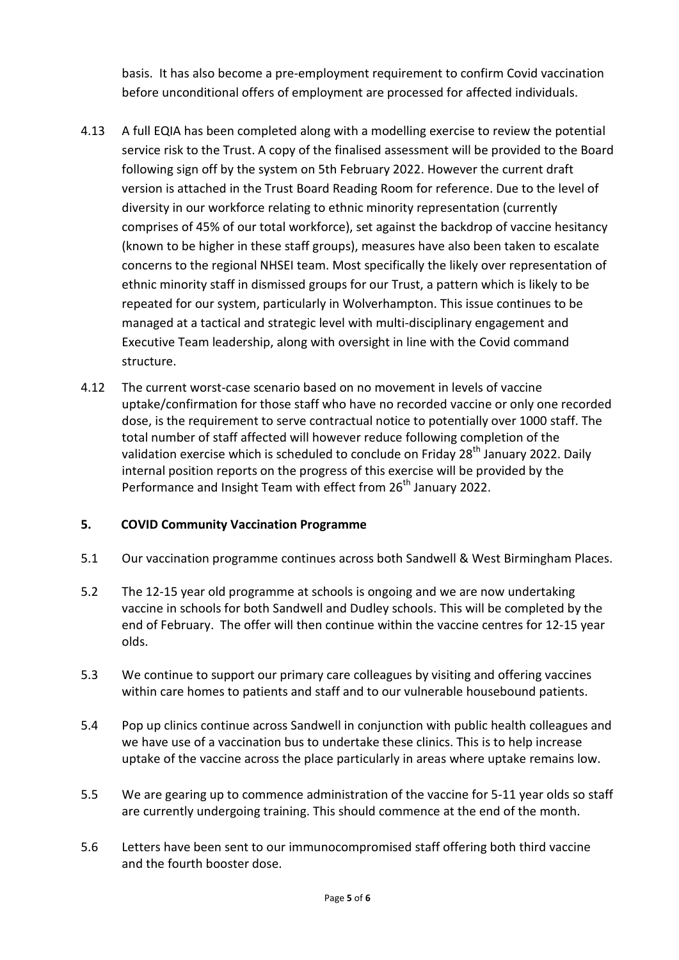basis. It has also become a pre-employment requirement to confirm Covid vaccination before unconditional offers of employment are processed for affected individuals.

- 4.13 A full EQIA has been completed along with a modelling exercise to review the potential service risk to the Trust. A copy of the finalised assessment will be provided to the Board following sign off by the system on 5th February 2022. However the current draft version is attached in the Trust Board Reading Room for reference. Due to the level of diversity in our workforce relating to ethnic minority representation (currently comprises of 45% of our total workforce), set against the backdrop of vaccine hesitancy (known to be higher in these staff groups), measures have also been taken to escalate concerns to the regional NHSEI team. Most specifically the likely over representation of ethnic minority staff in dismissed groups for our Trust, a pattern which is likely to be repeated for our system, particularly in Wolverhampton. This issue continues to be managed at a tactical and strategic level with multi-disciplinary engagement and Executive Team leadership, along with oversight in line with the Covid command structure.
- 4.12 The current worst-case scenario based on no movement in levels of vaccine uptake/confirmation for those staff who have no recorded vaccine or only one recorded dose, is the requirement to serve contractual notice to potentially over 1000 staff. The total number of staff affected will however reduce following completion of the validation exercise which is scheduled to conclude on Friday  $28<sup>th</sup>$  January 2022. Daily internal position reports on the progress of this exercise will be provided by the Performance and Insight Team with effect from 26<sup>th</sup> January 2022.

# **5. COVID Community Vaccination Programme**

- 5.1 Our vaccination programme continues across both Sandwell & West Birmingham Places.
- 5.2 The 12-15 year old programme at schools is ongoing and we are now undertaking vaccine in schools for both Sandwell and Dudley schools. This will be completed by the end of February. The offer will then continue within the vaccine centres for 12-15 year olds.
- 5.3 We continue to support our primary care colleagues by visiting and offering vaccines within care homes to patients and staff and to our vulnerable housebound patients.
- 5.4 Pop up clinics continue across Sandwell in conjunction with public health colleagues and we have use of a vaccination bus to undertake these clinics. This is to help increase uptake of the vaccine across the place particularly in areas where uptake remains low.
- 5.5 We are gearing up to commence administration of the vaccine for 5-11 year olds so staff are currently undergoing training. This should commence at the end of the month.
- 5.6 Letters have been sent to our immunocompromised staff offering both third vaccine and the fourth booster dose.